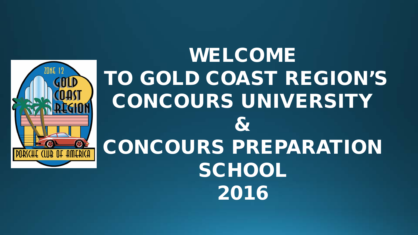

# WELCOME TO GOLD COAST REGION'S CONCOURS UNIVERSITY & CONCOURS PREPARATION **SCHOOL** 2016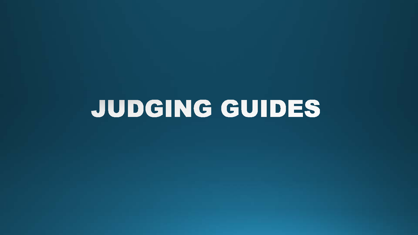# JUDGING GUIDES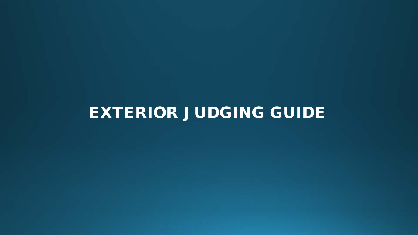## EXTERIOR JUDGING GUIDE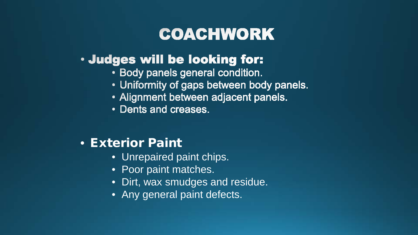## **COACHWORK**

#### · Judges will be looking for:

- Body panels general condition.
- Uniformity of gaps between body panels.
- Alignment between adjacent panels.
- Dents and creases.

#### • Exterior Paint

- Unrepaired paint chips.
- Poor paint matches.
- Dirt, wax smudges and residue.
- Any general paint defects.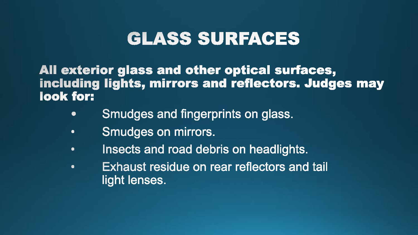## **GLASS SURFACES**

All exterior glass and other optical surfaces, including lights, mirrors and reflectors. Judges may look for:

- Smudges and fingerprints on glass.  $\bullet$
- Smudges on mirrors.  $\bullet$
- Insects and road debris on headlights.  $\bullet$
- Exhaust residue on rear reflectors and tail  $\bullet$ light lenses.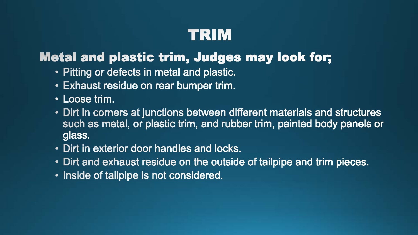## TRIM

#### **Metal and plastic trim, Judges may look for;**

- Pitting or defects in metal and plastic.
- Exhaust residue on rear bumper trim.
- Loose trim.
- Dirt in corners at junctions between different materials and structures such as metal, or plastic trim, and rubber trim, painted body panels or glass.
- Dirt in exterior door handles and locks.
- Dirt and exhaust residue on the outside of tailpipe and trim pieces.
- Inside of tailpipe is not considered.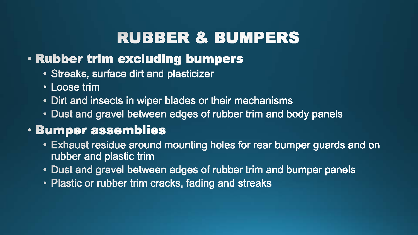## **RUBBER & BUMPERS**

#### . Rubber trim excluding bumpers

- Streaks, surface dirt and plasticizer
- Loose trim
- Dirt and insects in wiper blades or their mechanisms
- Dust and gravel between edges of rubber trim and body panels

#### **· Bumper assemblies**

- Exhaust residue around mounting holes for rear bumper guards and on rubber and plastic trim
- Dust and gravel between edges of rubber trim and bumper panels
- Plastic or rubber trim cracks, fading and streaks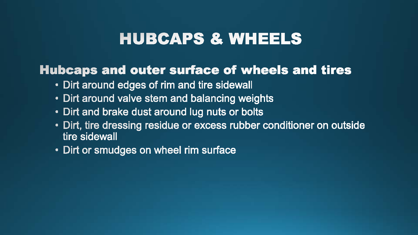#### **HUBCAPS & WHEELS**

#### **Hubcaps and outer surface of wheels and tires**

- Dirt around edges of rim and tire sidewall
- Dirt around valve stem and balancing weights
- Dirt and brake dust around lug nuts or bolts
- Dirt, tire dressing residue or excess rubber conditioner on outside tire sidewall
- Dirt or smudges on wheel rim surface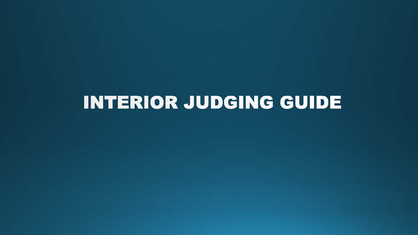## INTERIOR JUDGING GUIDE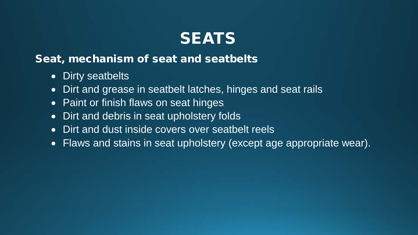

#### Seat, mechanism of seat and seatbelts

- Dirty seatbelts
- Dirt and grease in seatbelt latches, hinges and seat rails
- Paint or finish flaws on seat hinges
- Dirt and debris in seat upholstery folds
- Dirt and dust inside covers over seatbelt reels
- Flaws and stains in seat upholstery (except age appropriate wear).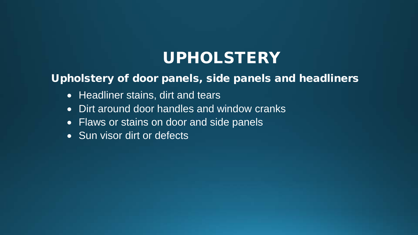## UPHOLSTERY

#### Upholstery of door panels, side panels and headliners

- Headliner stains, dirt and tears
- Dirt around door handles and window cranks
- Flaws or stains on door and side panels
- Sun visor dirt or defects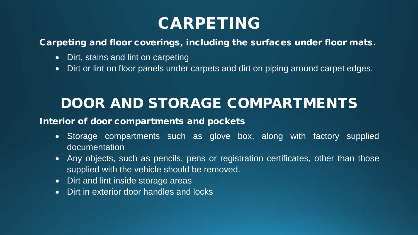## CARPETING

Carpeting and floor coverings, including the surfaces under floor mats.

- Dirt, stains and lint on carpeting
- Dirt or lint on floor panels under carpets and dirt on piping around carpet edges.

## DOOR AND STORAGE COMPARTMENTS

#### Interior of door compartments and pockets

- Storage compartments such as glove box, along with factory supplied documentation
- Any objects, such as pencils, pens or registration certificates, other than those supplied with the vehicle should be removed.
- Dirt and lint inside storage areas
- Dirt in exterior door handles and locks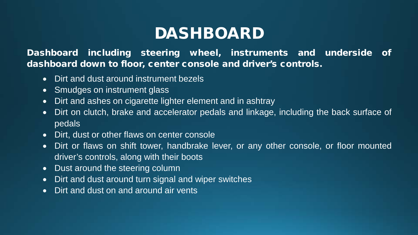## DASHBOARD

Dashboard including steering wheel, instruments and underside of dashboard down to floor, center console and driver's controls.

- Dirt and dust around instrument bezels
- Smudges on instrument glass
- Dirt and ashes on cigarette lighter element and in ashtray
- Dirt on clutch, brake and accelerator pedals and linkage, including the back surface of pedals
- Dirt, dust or other flaws on center console
- Dirt or flaws on shift tower, handbrake lever, or any other console, or floor mounted driver's controls, along with their boots
- Dust around the steering column
- Dirt and dust around turn signal and wiper switches
- Dirt and dust on and around air vents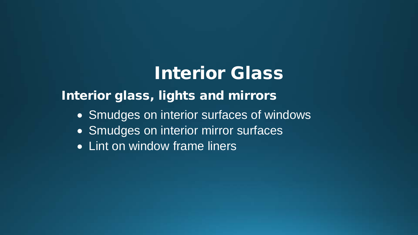## Interior Glass

#### Interior glass, lights and mirrors

- Smudges on interior surfaces of windows
- Smudges on interior mirror surfaces
- Lint on window frame liners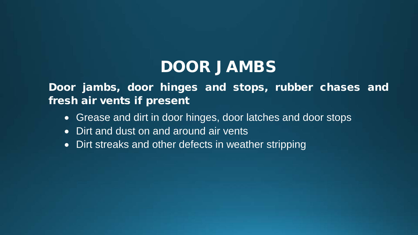## DOOR JAMBS

Door jambs, door hinges and stops, rubber chases and fresh air vents if present

- Grease and dirt in door hinges, door latches and door stops
- Dirt and dust on and around air vents
- Dirt streaks and other defects in weather stripping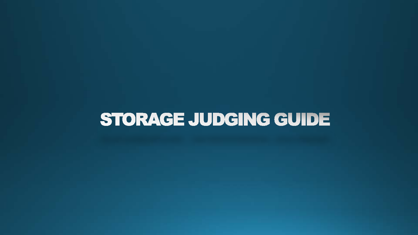## STORAGE JUDGING GUIDE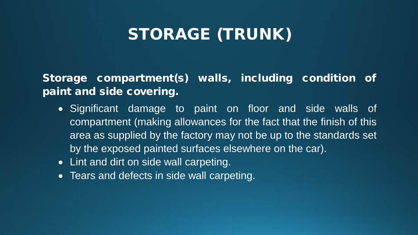## STORAGE (TRUNK)

Storage compartment(s) walls, including condition of paint and side covering.

- Significant damage to paint on floor and side walls of compartment (making allowances for the fact that the finish of this area as supplied by the factory may not be up to the standards set by the exposed painted surfaces elsewhere on the car).
- Lint and dirt on side wall carpeting.
- Tears and defects in side wall carpeting.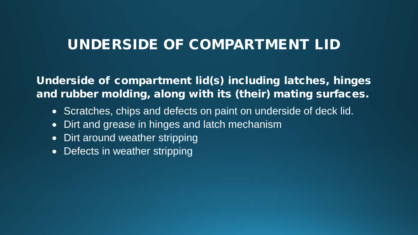#### UNDERSIDE OF COMPARTMENT LID

Underside of compartment lid(s) including latches, hinges and rubber molding, along with its (their) mating surfaces.

- Scratches, chips and defects on paint on underside of deck lid.
- Dirt and grease in hinges and latch mechanism
- Dirt around weather stripping
- Defects in weather stripping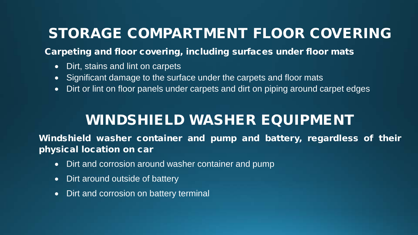#### STORAGE COMPARTMENT FLOOR COVERING

Carpeting and floor covering, including surfaces under floor mats

- Dirt, stains and lint on carpets
- Significant damage to the surface under the carpets and floor mats
- Dirt or lint on floor panels under carpets and dirt on piping around carpet edges

#### WINDSHIELD WASHER EQUIPMENT

Windshield washer container and pump and battery, regardless of their physical location on car

- Dirt and corrosion around washer container and pump
- Dirt around outside of battery
- Dirt and corrosion on battery terminal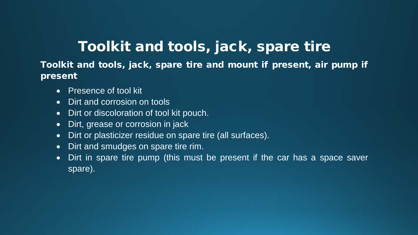#### Toolkit and tools, jack, spare tire

Toolkit and tools, jack, spare tire and mount if present, air pump if present

- Presence of tool kit
- Dirt and corrosion on tools
- Dirt or discoloration of tool kit pouch.
- Dirt, grease or corrosion in jack
- Dirt or plasticizer residue on spare tire (all surfaces).
- Dirt and smudges on spare tire rim.
- Dirt in spare tire pump (this must be present if the car has a space saver spare).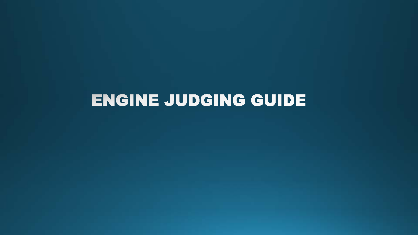## ENGINE JUDGING GUIDE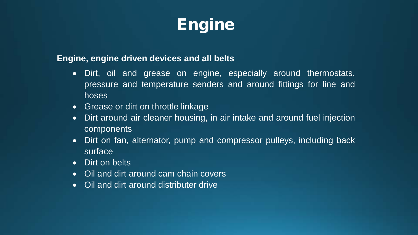

#### **Engine, engine driven devices and all belts**

- Dirt, oil and grease on engine, especially around thermostats, pressure and temperature senders and around fittings for line and hoses
- Grease or dirt on throttle linkage
- Dirt around air cleaner housing, in air intake and around fuel injection components
- Dirt on fan, alternator, pump and compressor pulleys, including back surface
- Dirt on belts
- Oil and dirt around cam chain covers
- Oil and dirt around distributer drive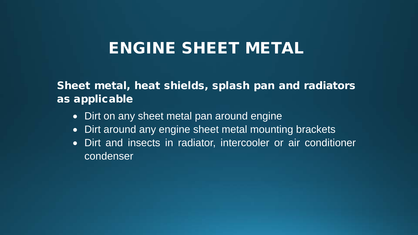#### ENGINE SHEET METAL

#### Sheet metal, heat shields, splash pan and radiators as applicable

- Dirt on any sheet metal pan around engine
- Dirt around any engine sheet metal mounting brackets
- Dirt and insects in radiator, intercooler or air conditioner condenser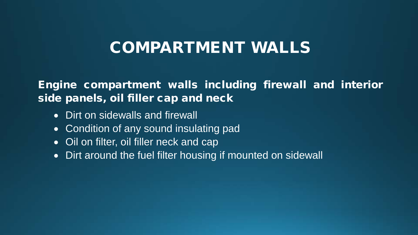#### COMPARTMENT WALLS

#### Engine compartment walls including firewall and interior side panels, oil filler cap and neck

- Dirt on sidewalls and firewall
- Condition of any sound insulating pad
- Oil on filter, oil filler neck and cap
- Dirt around the fuel filter housing if mounted on sidewall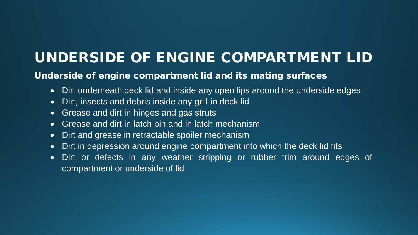#### UNDERSIDE OF ENGINE COMPARTMENT LID

#### Underside of engine compartment lid and its mating surfaces

- Dirt underneath deck lid and inside any open lips around the underside edges
- Dirt, insects and debris inside any grill in deck lid
- Grease and dirt in hinges and gas struts
- Grease and dirt in latch pin and in latch mechanism
- Dirt and grease in retractable spoiler mechanism
- Dirt in depression around engine compartment into which the deck lid fits
- Dirt or defects in any weather stripping or rubber trim around edges of compartment or underside of lid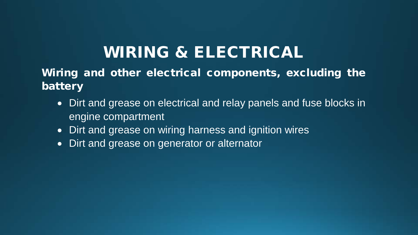## WIRING & ELECTRICAL

Wiring and other electrical components, excluding the battery

- Dirt and grease on electrical and relay panels and fuse blocks in engine compartment
- Dirt and grease on wiring harness and ignition wires
- Dirt and grease on generator or alternator